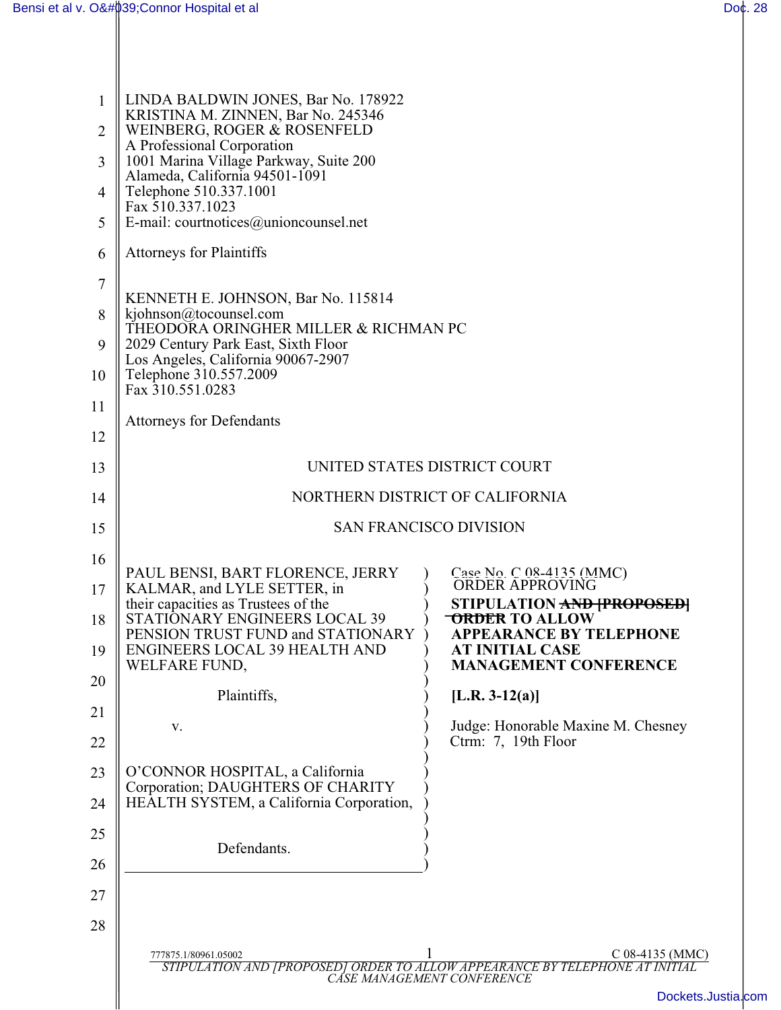| $\mathbf{1}$<br>$\overline{2}$ | LINDA BALDWIN JONES, Bar No. 178922<br>KRISTINA M. ZINNEN, Bar No. 245346<br>WEINBERG, ROGER & ROSENFELD<br>A Professional Corporation |                                                                         |
|--------------------------------|----------------------------------------------------------------------------------------------------------------------------------------|-------------------------------------------------------------------------|
| 3                              | 1001 Marina Village Parkway, Suite 200<br>Alameda, California 94501-1091                                                               |                                                                         |
| 4<br>5                         | Telephone 510.337.1001<br>Fax 510.337.1023<br>E-mail: courtnotices@unioncounsel.net                                                    |                                                                         |
| 6                              | <b>Attorneys for Plaintiffs</b>                                                                                                        |                                                                         |
| $\overline{7}$                 |                                                                                                                                        |                                                                         |
| 8                              | KENNETH E. JOHNSON, Bar No. 115814<br>kjohnson@tocounsel.com                                                                           |                                                                         |
| 9                              | THEODORA ORINGHER MILLER & RICHMAN PC<br>2029 Century Park East, Sixth Floor                                                           |                                                                         |
| 10                             | Los Angeles, California 90067-2907<br>Telephone 310.557.2009<br>Fax 310.551.0283                                                       |                                                                         |
| 11                             | <b>Attorneys for Defendants</b>                                                                                                        |                                                                         |
| 12                             |                                                                                                                                        |                                                                         |
| 13                             | UNITED STATES DISTRICT COURT                                                                                                           |                                                                         |
| 14                             | NORTHERN DISTRICT OF CALIFORNIA                                                                                                        |                                                                         |
| 15                             | <b>SAN FRANCISCO DIVISION</b>                                                                                                          |                                                                         |
| 16                             | PAUL BENSI, BART FLORENCE, JERRY                                                                                                       |                                                                         |
| 17                             | KALMAR, and LYLE SETTER, in<br>their capacities as Trustees of the                                                                     | Case No. C 08-4135 (MMC)<br>ORDER APPROVING<br>STIPULATION AND PROPOSED |
| 18                             | STATIONARY ENGINEERS LOCAL 39<br>PENSION TRUST FUND and STATIONARY                                                                     | <b>ORDER TO ALLOW</b><br><b>APPEARANCE BY TELEPHONE</b>                 |
| 19                             | ENGINEERS LOCAL 39 HEALTH AND<br>WELFARE FUND,                                                                                         | <b>AT INITIAL CASE</b><br><b>MANAGEMENT CONFERENCE</b>                  |
| 20                             | Plaintiffs,                                                                                                                            | [L.R. $3-12(a)$ ]                                                       |
| 21                             | V.                                                                                                                                     | Judge: Honorable Maxine M. Chesney                                      |
| 22                             |                                                                                                                                        | Ctrm: 7, 19th Floor                                                     |
| 23                             | O'CONNOR HOSPITAL, a California<br>Corporation; DAUGHTERS OF CHARITY                                                                   |                                                                         |
| 24                             | HEALTH SYSTEM, a California Corporation,                                                                                               |                                                                         |
| 25                             | Defendants.                                                                                                                            |                                                                         |
| 26                             |                                                                                                                                        |                                                                         |
| 27                             |                                                                                                                                        |                                                                         |
| 28                             |                                                                                                                                        |                                                                         |
|                                | C 08-4135 (MMC)<br>777875.1/80961.05002<br>STIPULATION AND [PROPOSED] ORDER TO ALLOW APPEARANCE BY TELEPHONE AT INITIAL                |                                                                         |
|                                |                                                                                                                                        | CÁSE MANAGEMENT CONFERENCE<br>Dockets.Jus                               |
|                                |                                                                                                                                        |                                                                         |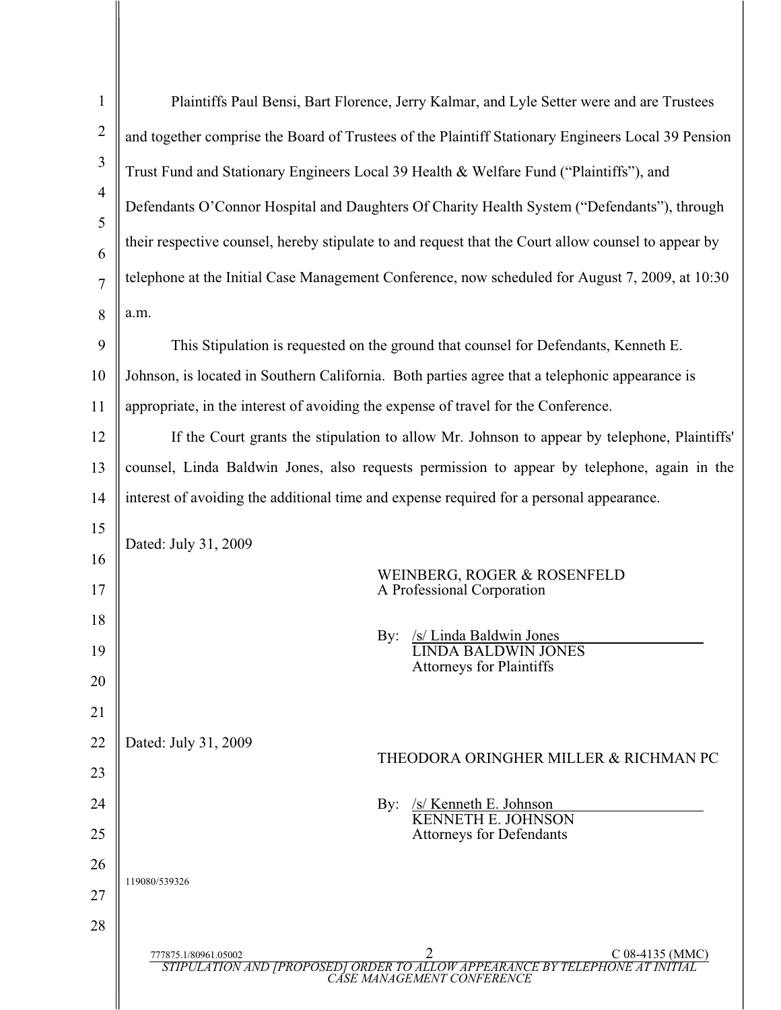| $\mathbf{1}$   | Plaintiffs Paul Bensi, Bart Florence, Jerry Kalmar, and Lyle Setter were and are Trustees                                                                  |  |
|----------------|------------------------------------------------------------------------------------------------------------------------------------------------------------|--|
| $\overline{2}$ | and together comprise the Board of Trustees of the Plaintiff Stationary Engineers Local 39 Pension                                                         |  |
| 3              | Trust Fund and Stationary Engineers Local 39 Health & Welfare Fund ("Plaintiffs"), and                                                                     |  |
| $\overline{4}$ | Defendants O'Connor Hospital and Daughters Of Charity Health System ("Defendants"), through                                                                |  |
| 5              | their respective counsel, hereby stipulate to and request that the Court allow counsel to appear by                                                        |  |
| 6              |                                                                                                                                                            |  |
| $\overline{7}$ | telephone at the Initial Case Management Conference, now scheduled for August 7, 2009, at 10:30                                                            |  |
| 8              | a.m.                                                                                                                                                       |  |
| 9              | This Stipulation is requested on the ground that counsel for Defendants, Kenneth E.                                                                        |  |
| 10             | Johnson, is located in Southern California. Both parties agree that a telephonic appearance is                                                             |  |
| 11             | appropriate, in the interest of avoiding the expense of travel for the Conference.                                                                         |  |
| 12             | If the Court grants the stipulation to allow Mr. Johnson to appear by telephone, Plaintiffs'                                                               |  |
| 13             | counsel, Linda Baldwin Jones, also requests permission to appear by telephone, again in the                                                                |  |
| 14             | interest of avoiding the additional time and expense required for a personal appearance.                                                                   |  |
| 15             | Dated: July 31, 2009<br>WEINBERG, ROGER & ROSENFELD                                                                                                        |  |
| 16             |                                                                                                                                                            |  |
| 17             | A Professional Corporation                                                                                                                                 |  |
| 18             | /s/ Linda Baldwin Jones<br>By:                                                                                                                             |  |
| 19             | <b>LINDA BALDWIN JONES</b><br><b>Attorneys for Plaintiffs</b>                                                                                              |  |
| 20             |                                                                                                                                                            |  |
| 21             |                                                                                                                                                            |  |
| 22             | Dated: July 31, 2009<br>THEODORA ORINGHER MILLER & RICHMAN PC                                                                                              |  |
| 23             |                                                                                                                                                            |  |
| 24             | $/s$ / Kenneth E. Johnson<br>$\rm\,By:$<br><b>KENNETH E. JOHNSON</b>                                                                                       |  |
| 25             | <b>Attorneys for Defendants</b>                                                                                                                            |  |
| 26             | 119080/539326                                                                                                                                              |  |
| 27             |                                                                                                                                                            |  |
| 28             |                                                                                                                                                            |  |
|                | 2<br>C 08-4135 (MMC)<br>777875.1/80961.05002<br>STIPULATION AND [PROPOSED] ORDER TO ALLOW APPEARANCE BY TELEPHONE AT INITIAL<br>CASE MANAGEMENT CONFERENCE |  |